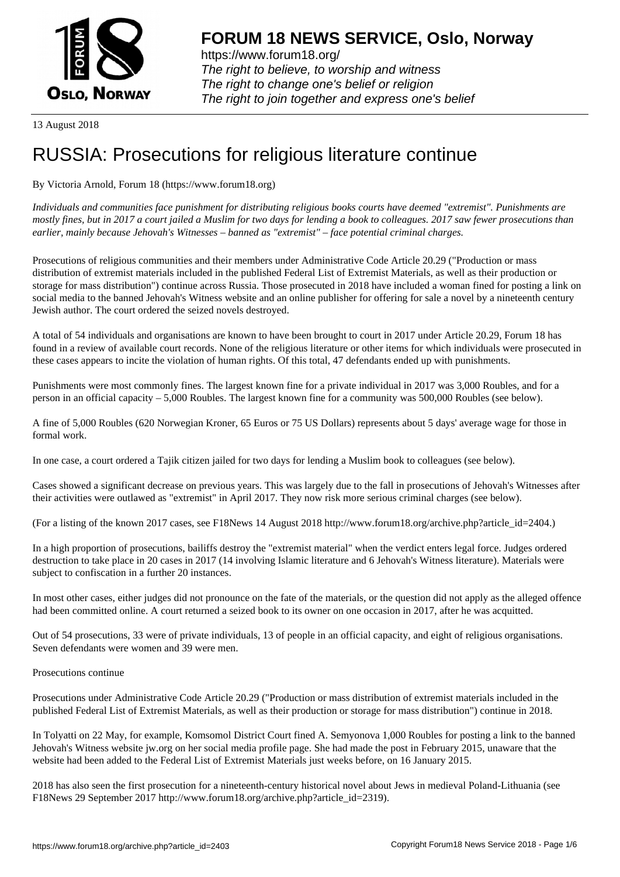

https://www.forum18.org/ The right to believe, to worship and witness The right to change one's belief or religion [The right to join together a](https://www.forum18.org/)nd express one's belief

13 August 2018

# [RUSSIA: Prose](https://www.forum18.org)cutions for religious literature continue

By Victoria Arnold, Forum 18 (https://www.forum18.org)

*Individuals and communities face punishment for distributing religious books courts have deemed "extremist". Punishments are mostly fines, but in 2017 a court jailed a Muslim for two days for lending a book to colleagues. 2017 saw fewer prosecutions than earlier, mainly because Jehovah's Witnesses – banned as "extremist" – face potential criminal charges.*

Prosecutions of religious communities and their members under Administrative Code Article 20.29 ("Production or mass distribution of extremist materials included in the published Federal List of Extremist Materials, as well as their production or storage for mass distribution") continue across Russia. Those prosecuted in 2018 have included a woman fined for posting a link on social media to the banned Jehovah's Witness website and an online publisher for offering for sale a novel by a nineteenth century Jewish author. The court ordered the seized novels destroyed.

A total of 54 individuals and organisations are known to have been brought to court in 2017 under Article 20.29, Forum 18 has found in a review of available court records. None of the religious literature or other items for which individuals were prosecuted in these cases appears to incite the violation of human rights. Of this total, 47 defendants ended up with punishments.

Punishments were most commonly fines. The largest known fine for a private individual in 2017 was 3,000 Roubles, and for a person in an official capacity – 5,000 Roubles. The largest known fine for a community was 500,000 Roubles (see below).

A fine of 5,000 Roubles (620 Norwegian Kroner, 65 Euros or 75 US Dollars) represents about 5 days' average wage for those in formal work.

In one case, a court ordered a Tajik citizen jailed for two days for lending a Muslim book to colleagues (see below).

Cases showed a significant decrease on previous years. This was largely due to the fall in prosecutions of Jehovah's Witnesses after their activities were outlawed as "extremist" in April 2017. They now risk more serious criminal charges (see below).

(For a listing of the known 2017 cases, see F18News 14 August 2018 http://www.forum18.org/archive.php?article\_id=2404.)

In a high proportion of prosecutions, bailiffs destroy the "extremist material" when the verdict enters legal force. Judges ordered destruction to take place in 20 cases in 2017 (14 involving Islamic literature and 6 Jehovah's Witness literature). Materials were subject to confiscation in a further 20 instances.

In most other cases, either judges did not pronounce on the fate of the materials, or the question did not apply as the alleged offence had been committed online. A court returned a seized book to its owner on one occasion in 2017, after he was acquitted.

Out of 54 prosecutions, 33 were of private individuals, 13 of people in an official capacity, and eight of religious organisations. Seven defendants were women and 39 were men.

Prosecutions continue

Prosecutions under Administrative Code Article 20.29 ("Production or mass distribution of extremist materials included in the published Federal List of Extremist Materials, as well as their production or storage for mass distribution") continue in 2018.

In Tolyatti on 22 May, for example, Komsomol District Court fined A. Semyonova 1,000 Roubles for posting a link to the banned Jehovah's Witness website jw.org on her social media profile page. She had made the post in February 2015, unaware that the website had been added to the Federal List of Extremist Materials just weeks before, on 16 January 2015.

2018 has also seen the first prosecution for a nineteenth-century historical novel about Jews in medieval Poland-Lithuania (see F18News 29 September 2017 http://www.forum18.org/archive.php?article\_id=2319).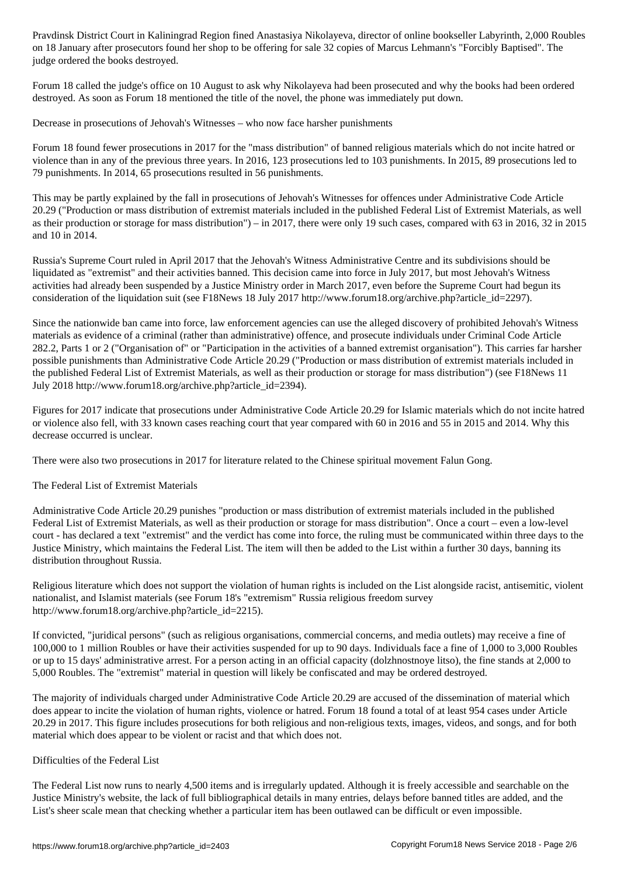on 18 January after prosecutors found her shop to be offering for sale 32 copies of Marcus Lehmann's "Forcibly Baptised". The judge ordered the books destroyed.

Forum 18 called the judge's office on 10 August to ask why Nikolayeva had been prosecuted and why the books had been ordered destroyed. As soon as Forum 18 mentioned the title of the novel, the phone was immediately put down.

Decrease in prosecutions of Jehovah's Witnesses – who now face harsher punishments

Forum 18 found fewer prosecutions in 2017 for the "mass distribution" of banned religious materials which do not incite hatred or violence than in any of the previous three years. In 2016, 123 prosecutions led to 103 punishments. In 2015, 89 prosecutions led to 79 punishments. In 2014, 65 prosecutions resulted in 56 punishments.

This may be partly explained by the fall in prosecutions of Jehovah's Witnesses for offences under Administrative Code Article 20.29 ("Production or mass distribution of extremist materials included in the published Federal List of Extremist Materials, as well as their production or storage for mass distribution") – in 2017, there were only 19 such cases, compared with 63 in 2016, 32 in 2015 and 10 in 2014.

Russia's Supreme Court ruled in April 2017 that the Jehovah's Witness Administrative Centre and its subdivisions should be liquidated as "extremist" and their activities banned. This decision came into force in July 2017, but most Jehovah's Witness activities had already been suspended by a Justice Ministry order in March 2017, even before the Supreme Court had begun its consideration of the liquidation suit (see F18News 18 July 2017 http://www.forum18.org/archive.php?article\_id=2297).

Since the nationwide ban came into force, law enforcement agencies can use the alleged discovery of prohibited Jehovah's Witness materials as evidence of a criminal (rather than administrative) offence, and prosecute individuals under Criminal Code Article 282.2, Parts 1 or 2 ("Organisation of" or "Participation in the activities of a banned extremist organisation"). This carries far harsher possible punishments than Administrative Code Article 20.29 ("Production or mass distribution of extremist materials included in the published Federal List of Extremist Materials, as well as their production or storage for mass distribution") (see F18News 11 July 2018 http://www.forum18.org/archive.php?article\_id=2394).

Figures for 2017 indicate that prosecutions under Administrative Code Article 20.29 for Islamic materials which do not incite hatred or violence also fell, with 33 known cases reaching court that year compared with 60 in 2016 and 55 in 2015 and 2014. Why this decrease occurred is unclear.

There were also two prosecutions in 2017 for literature related to the Chinese spiritual movement Falun Gong.

# The Federal List of Extremist Materials

Administrative Code Article 20.29 punishes "production or mass distribution of extremist materials included in the published Federal List of Extremist Materials, as well as their production or storage for mass distribution". Once a court – even a low-level court - has declared a text "extremist" and the verdict has come into force, the ruling must be communicated within three days to the Justice Ministry, which maintains the Federal List. The item will then be added to the List within a further 30 days, banning its distribution throughout Russia.

Religious literature which does not support the violation of human rights is included on the List alongside racist, antisemitic, violent nationalist, and Islamist materials (see Forum 18's "extremism" Russia religious freedom survey http://www.forum18.org/archive.php?article\_id=2215).

If convicted, "juridical persons" (such as religious organisations, commercial concerns, and media outlets) may receive a fine of 100,000 to 1 million Roubles or have their activities suspended for up to 90 days. Individuals face a fine of 1,000 to 3,000 Roubles or up to 15 days' administrative arrest. For a person acting in an official capacity (dolzhnostnoye litso), the fine stands at 2,000 to 5,000 Roubles. The "extremist" material in question will likely be confiscated and may be ordered destroyed.

The majority of individuals charged under Administrative Code Article 20.29 are accused of the dissemination of material which does appear to incite the violation of human rights, violence or hatred. Forum 18 found a total of at least 954 cases under Article 20.29 in 2017. This figure includes prosecutions for both religious and non-religious texts, images, videos, and songs, and for both material which does appear to be violent or racist and that which does not.

# Difficulties of the Federal List

The Federal List now runs to nearly 4,500 items and is irregularly updated. Although it is freely accessible and searchable on the Justice Ministry's website, the lack of full bibliographical details in many entries, delays before banned titles are added, and the List's sheer scale mean that checking whether a particular item has been outlawed can be difficult or even impossible.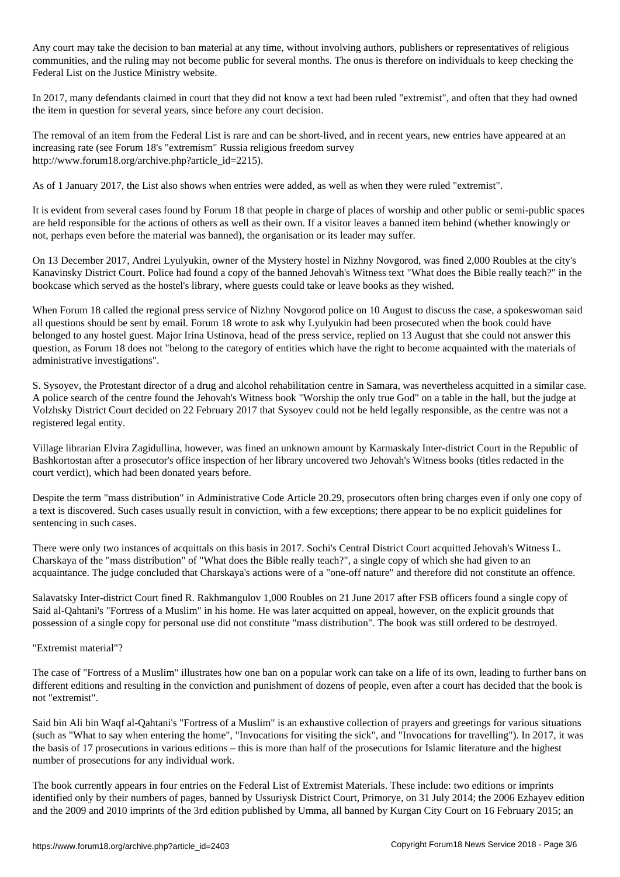Any court may take the decision to ban material at any time, without involving authors, publishers or representatives of religious communities, and the ruling may not become public for several months. The onus is therefore on individuals to keep checking the Federal List on the Justice Ministry website.

In 2017, many defendants claimed in court that they did not know a text had been ruled "extremist", and often that they had owned the item in question for several years, since before any court decision.

The removal of an item from the Federal List is rare and can be short-lived, and in recent years, new entries have appeared at an increasing rate (see Forum 18's "extremism" Russia religious freedom survey http://www.forum18.org/archive.php?article\_id=2215).

As of 1 January 2017, the List also shows when entries were added, as well as when they were ruled "extremist".

It is evident from several cases found by Forum 18 that people in charge of places of worship and other public or semi-public spaces are held responsible for the actions of others as well as their own. If a visitor leaves a banned item behind (whether knowingly or not, perhaps even before the material was banned), the organisation or its leader may suffer.

On 13 December 2017, Andrei Lyulyukin, owner of the Mystery hostel in Nizhny Novgorod, was fined 2,000 Roubles at the city's Kanavinsky District Court. Police had found a copy of the banned Jehovah's Witness text "What does the Bible really teach?" in the bookcase which served as the hostel's library, where guests could take or leave books as they wished.

When Forum 18 called the regional press service of Nizhny Novgorod police on 10 August to discuss the case, a spokeswoman said all questions should be sent by email. Forum 18 wrote to ask why Lyulyukin had been prosecuted when the book could have belonged to any hostel guest. Major Irina Ustinova, head of the press service, replied on 13 August that she could not answer this question, as Forum 18 does not "belong to the category of entities which have the right to become acquainted with the materials of administrative investigations".

S. Sysoyev, the Protestant director of a drug and alcohol rehabilitation centre in Samara, was nevertheless acquitted in a similar case. A police search of the centre found the Jehovah's Witness book "Worship the only true God" on a table in the hall, but the judge at Volzhsky District Court decided on 22 February 2017 that Sysoyev could not be held legally responsible, as the centre was not a registered legal entity.

Village librarian Elvira Zagidullina, however, was fined an unknown amount by Karmaskaly Inter-district Court in the Republic of Bashkortostan after a prosecutor's office inspection of her library uncovered two Jehovah's Witness books (titles redacted in the court verdict), which had been donated years before.

Despite the term "mass distribution" in Administrative Code Article 20.29, prosecutors often bring charges even if only one copy of a text is discovered. Such cases usually result in conviction, with a few exceptions; there appear to be no explicit guidelines for sentencing in such cases.

There were only two instances of acquittals on this basis in 2017. Sochi's Central District Court acquitted Jehovah's Witness L. Charskaya of the "mass distribution" of "What does the Bible really teach?", a single copy of which she had given to an acquaintance. The judge concluded that Charskaya's actions were of a "one-off nature" and therefore did not constitute an offence.

Salavatsky Inter-district Court fined R. Rakhmangulov 1,000 Roubles on 21 June 2017 after FSB officers found a single copy of Said al-Qahtani's "Fortress of a Muslim" in his home. He was later acquitted on appeal, however, on the explicit grounds that possession of a single copy for personal use did not constitute "mass distribution". The book was still ordered to be destroyed.

# "Extremist material"?

The case of "Fortress of a Muslim" illustrates how one ban on a popular work can take on a life of its own, leading to further bans on different editions and resulting in the conviction and punishment of dozens of people, even after a court has decided that the book is not "extremist".

Said bin Ali bin Waqf al-Qahtani's "Fortress of a Muslim" is an exhaustive collection of prayers and greetings for various situations (such as "What to say when entering the home", "Invocations for visiting the sick", and "Invocations for travelling"). In 2017, it was the basis of 17 prosecutions in various editions – this is more than half of the prosecutions for Islamic literature and the highest number of prosecutions for any individual work.

The book currently appears in four entries on the Federal List of Extremist Materials. These include: two editions or imprints identified only by their numbers of pages, banned by Ussuriysk District Court, Primorye, on 31 July 2014; the 2006 Ezhayev edition and the 2009 and 2010 imprints of the 3rd edition published by Umma, all banned by Kurgan City Court on 16 February 2015; an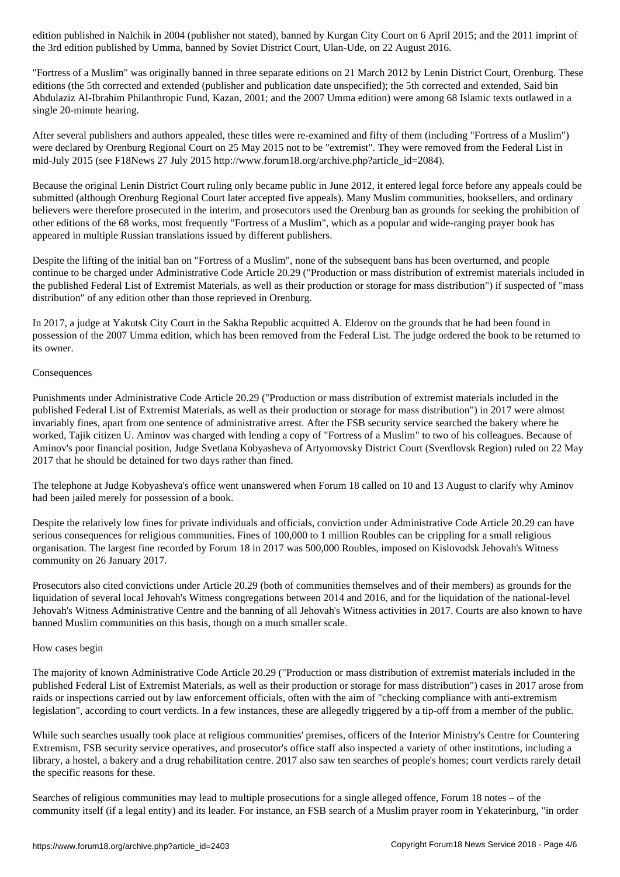the 3rd edition published by Umma, banned by Soviet District Court, Ulan-Ude, on 22 August 2016.

"Fortress of a Muslim" was originally banned in three separate editions on 21 March 2012 by Lenin District Court, Orenburg. These editions (the 5th corrected and extended (publisher and publication date unspecified); the 5th corrected and extended, Said bin Abdulaziz Al-Ibrahim Philanthropic Fund, Kazan, 2001; and the 2007 Umma edition) were among 68 Islamic texts outlawed in a single 20-minute hearing.

After several publishers and authors appealed, these titles were re-examined and fifty of them (including "Fortress of a Muslim") were declared by Orenburg Regional Court on 25 May 2015 not to be "extremist". They were removed from the Federal List in mid-July 2015 (see F18News 27 July 2015 http://www.forum18.org/archive.php?article\_id=2084).

Because the original Lenin District Court ruling only became public in June 2012, it entered legal force before any appeals could be submitted (although Orenburg Regional Court later accepted five appeals). Many Muslim communities, booksellers, and ordinary believers were therefore prosecuted in the interim, and prosecutors used the Orenburg ban as grounds for seeking the prohibition of other editions of the 68 works, most frequently "Fortress of a Muslim", which as a popular and wide-ranging prayer book has appeared in multiple Russian translations issued by different publishers.

Despite the lifting of the initial ban on "Fortress of a Muslim", none of the subsequent bans has been overturned, and people continue to be charged under Administrative Code Article 20.29 ("Production or mass distribution of extremist materials included in the published Federal List of Extremist Materials, as well as their production or storage for mass distribution") if suspected of "mass distribution" of any edition other than those reprieved in Orenburg.

In 2017, a judge at Yakutsk City Court in the Sakha Republic acquitted A. Elderov on the grounds that he had been found in possession of the 2007 Umma edition, which has been removed from the Federal List. The judge ordered the book to be returned to its owner.

### Consequences

Punishments under Administrative Code Article 20.29 ("Production or mass distribution of extremist materials included in the published Federal List of Extremist Materials, as well as their production or storage for mass distribution") in 2017 were almost invariably fines, apart from one sentence of administrative arrest. After the FSB security service searched the bakery where he worked, Tajik citizen U. Aminov was charged with lending a copy of "Fortress of a Muslim" to two of his colleagues. Because of Aminov's poor financial position, Judge Svetlana Kobyasheva of Artyomovsky District Court (Sverdlovsk Region) ruled on 22 May 2017 that he should be detained for two days rather than fined.

The telephone at Judge Kobyasheva's office went unanswered when Forum 18 called on 10 and 13 August to clarify why Aminov had been jailed merely for possession of a book.

Despite the relatively low fines for private individuals and officials, conviction under Administrative Code Article 20.29 can have serious consequences for religious communities. Fines of 100,000 to 1 million Roubles can be crippling for a small religious organisation. The largest fine recorded by Forum 18 in 2017 was 500,000 Roubles, imposed on Kislovodsk Jehovah's Witness community on 26 January 2017.

Prosecutors also cited convictions under Article 20.29 (both of communities themselves and of their members) as grounds for the liquidation of several local Jehovah's Witness congregations between 2014 and 2016, and for the liquidation of the national-level Jehovah's Witness Administrative Centre and the banning of all Jehovah's Witness activities in 2017. Courts are also known to have banned Muslim communities on this basis, though on a much smaller scale.

# How cases begin

The majority of known Administrative Code Article 20.29 ("Production or mass distribution of extremist materials included in the published Federal List of Extremist Materials, as well as their production or storage for mass distribution") cases in 2017 arose from raids or inspections carried out by law enforcement officials, often with the aim of "checking compliance with anti-extremism legislation", according to court verdicts. In a few instances, these are allegedly triggered by a tip-off from a member of the public.

While such searches usually took place at religious communities' premises, officers of the Interior Ministry's Centre for Countering Extremism, FSB security service operatives, and prosecutor's office staff also inspected a variety of other institutions, including a library, a hostel, a bakery and a drug rehabilitation centre. 2017 also saw ten searches of people's homes; court verdicts rarely detail the specific reasons for these.

Searches of religious communities may lead to multiple prosecutions for a single alleged offence, Forum 18 notes – of the community itself (if a legal entity) and its leader. For instance, an FSB search of a Muslim prayer room in Yekaterinburg, "in order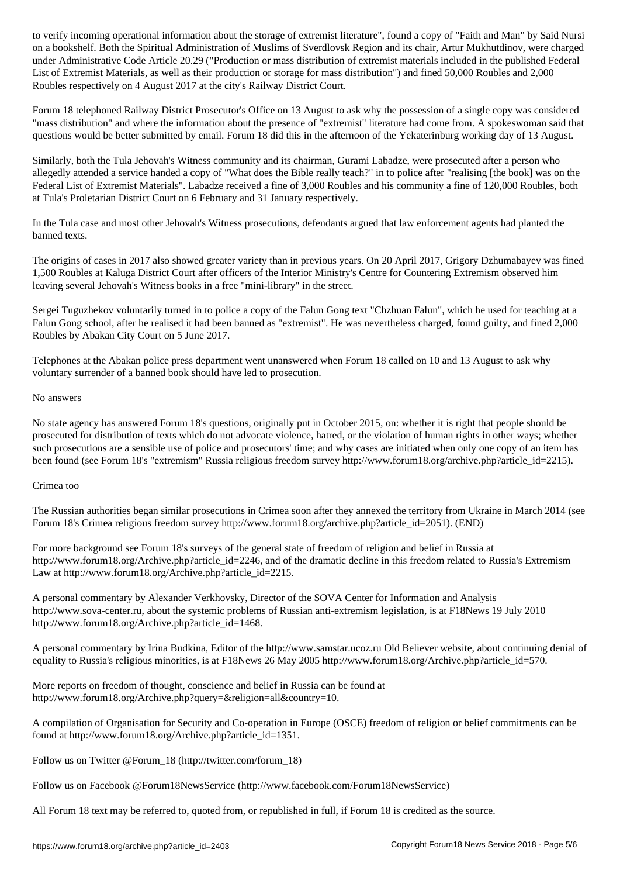on a bookshelf. Both the Spiritual Administration of Muslims of Sverdlovsk Region and its chair, Artur Mukhutdinov, were charged under Administrative Code Article 20.29 ("Production or mass distribution of extremist materials included in the published Federal List of Extremist Materials, as well as their production or storage for mass distribution") and fined 50,000 Roubles and 2,000 Roubles respectively on 4 August 2017 at the city's Railway District Court.

Forum 18 telephoned Railway District Prosecutor's Office on 13 August to ask why the possession of a single copy was considered "mass distribution" and where the information about the presence of "extremist" literature had come from. A spokeswoman said that questions would be better submitted by email. Forum 18 did this in the afternoon of the Yekaterinburg working day of 13 August.

Similarly, both the Tula Jehovah's Witness community and its chairman, Gurami Labadze, were prosecuted after a person who allegedly attended a service handed a copy of "What does the Bible really teach?" in to police after "realising [the book] was on the Federal List of Extremist Materials". Labadze received a fine of 3,000 Roubles and his community a fine of 120,000 Roubles, both at Tula's Proletarian District Court on 6 February and 31 January respectively.

In the Tula case and most other Jehovah's Witness prosecutions, defendants argued that law enforcement agents had planted the banned texts.

The origins of cases in 2017 also showed greater variety than in previous years. On 20 April 2017, Grigory Dzhumabayev was fined 1,500 Roubles at Kaluga District Court after officers of the Interior Ministry's Centre for Countering Extremism observed him leaving several Jehovah's Witness books in a free "mini-library" in the street.

Sergei Tuguzhekov voluntarily turned in to police a copy of the Falun Gong text "Chzhuan Falun", which he used for teaching at a Falun Gong school, after he realised it had been banned as "extremist". He was nevertheless charged, found guilty, and fined 2,000 Roubles by Abakan City Court on 5 June 2017.

Telephones at the Abakan police press department went unanswered when Forum 18 called on 10 and 13 August to ask why voluntary surrender of a banned book should have led to prosecution.

# No answers

No state agency has answered Forum 18's questions, originally put in October 2015, on: whether it is right that people should be prosecuted for distribution of texts which do not advocate violence, hatred, or the violation of human rights in other ways; whether such prosecutions are a sensible use of police and prosecutors' time; and why cases are initiated when only one copy of an item has been found (see Forum 18's "extremism" Russia religious freedom survey http://www.forum18.org/archive.php?article\_id=2215).

# Crimea too

The Russian authorities began similar prosecutions in Crimea soon after they annexed the territory from Ukraine in March 2014 (see Forum 18's Crimea religious freedom survey http://www.forum18.org/archive.php?article\_id=2051). (END)

For more background see Forum 18's surveys of the general state of freedom of religion and belief in Russia at http://www.forum18.org/Archive.php?article\_id=2246, and of the dramatic decline in this freedom related to Russia's Extremism Law at http://www.forum18.org/Archive.php?article\_id=2215.

A personal commentary by Alexander Verkhovsky, Director of the SOVA Center for Information and Analysis http://www.sova-center.ru, about the systemic problems of Russian anti-extremism legislation, is at F18News 19 July 2010 http://www.forum18.org/Archive.php?article\_id=1468.

A personal commentary by Irina Budkina, Editor of the http://www.samstar.ucoz.ru Old Believer website, about continuing denial of equality to Russia's religious minorities, is at F18News 26 May 2005 http://www.forum18.org/Archive.php?article\_id=570.

More reports on freedom of thought, conscience and belief in Russia can be found at http://www.forum18.org/Archive.php?query=&religion=all&country=10.

A compilation of Organisation for Security and Co-operation in Europe (OSCE) freedom of religion or belief commitments can be found at http://www.forum18.org/Archive.php?article\_id=1351.

Follow us on Twitter @Forum\_18 (http://twitter.com/forum\_18)

Follow us on Facebook @Forum18NewsService (http://www.facebook.com/Forum18NewsService)

All Forum 18 text may be referred to, quoted from, or republished in full, if Forum 18 is credited as the source.